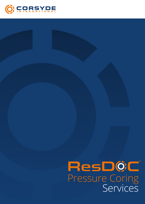

# Pressure Coring Services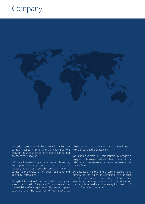## Company



Corsyde International GmbH & Co. KG is a German

company based in Berlin and the leading service provider in various fields of pressure coring and pressure core analysis.

With our long-standing experience in this sector, we support clients' projects in the oil and gas industry as well as research institutions when it comes to the evaluation of deep reservoirs and geological formations.

Corsyde International is committed to the highest standards of Health, Safety and Environment and to the reliability of our equipment. The lean company structure and the expertise of our specialists

allows us to react to our clients' individual needs with a great degree of flexibility.

We stand out from our competitors by providing unique technologies which allow access to a pristine and representative »micro reservoir« on the surface.

By encapsulating the entire core pressure tight directly at the point of extraction, the original condition is preserved and an unaltered rock sample can be analyzed on-site. This provides our clients with immediate high-quality information of crucial formation properties.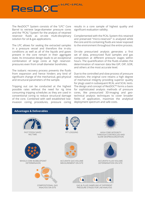The ResDOC™ System consists of the "LPC" Core Barrel to retrieve large-diameter pressure cores and the "PCAL" System for the analysis of retained reservoir fluids as on-site multi-disciplinary solution for oil & gas applications.

**ResD0C** 

The LPC allows for sealing the extracted samples in a pressure vessel and therefore the in-situ conditions as well as all of the liquids and gases present in the core remain in their aggregate state. Its innovative design leads to an exceptional combination of large cores at high reservoirpressures even from small diameter boreholes.

The isobaric recovery process prevents the fluids from expansion and hence hinders any kind of significant change of the mechanical, geo-physical and structural parameters of the sample.

Tripping out can be conducted at the highest possible rates without the need for rig time consuming tripping schedules as they are used in conventional coring to reduce structural damage of the core. Combined with well established lowinvasion coring procedures, pressure coring results in a core sample of highest quality and significant evaluation validity.

Complemented with the PCAL System this retained and preserved "micro-reservoir" is analyzed while the core and its containing fluids are never exposed to the environment throughout the entire process.

On-site pressurized analysis generates a first set of data, pressurized fluid samples and gas composition at different pressure stages within hours. The quantification of the fluids enables the determination of reservoir data like GIP, OIP, GOR, and others at the most accurate level.

Due to the controlled and slow process of pressure reduction, the original core retains a high degree of mechanical integrity providing superior quality for plugs used in subsequent RCAL and SCAL tests. The design and concept of ResDOC™ forms a basis for sophisticated analysis methods of pressure cores, like pressurized 3D-imaging and geotechnical analysis techniques to cover broader fields of application, maximize the analytical deployment spectrum and safe costs.



**MOLPC+OPCAL**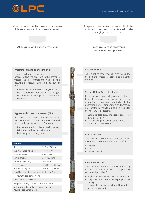

After the core is cut by conventional means, it is encapsulated in a pressure vessel.

A special mechanism ensures that the captured pressure is maintained under varying temperatures.



### **All Liquids and Gases preserved**

#### **Pressure Regulation System (PRS)**

Changes in temperature during the recovery process affect the pressure in the pressure vessel. The PRS controls and maintains the downhole pressure while pulling out of hole.

- Preservation of downhole (in-situ) conditions
- No core fracturing due to pressure changes
- No limitations in tripping speed saves rig time

#### **Bypass and Protection System (BPS)**

A special 3rd outer tube barrel allows permanent mud circulation at any time and protects the pressure vessel from wear.

- Permanent mud circulation (well control)
- Minimize mud contact with core
- Fail-safe protection system

| <b>Feature</b>                                                          |                           |
|-------------------------------------------------------------------------|---------------------------|
| Unit Length                                                             | 25.8 ft. (7.85 m)         |
| Recommended hole sizes                                                  | 7 %" to 8 1/2"            |
| Outer Barrel OD                                                         | $6\frac{1}{3}$ " (160 mm) |
| Core diameter                                                           | $3\frac{1}{3}$ " (85 mm)  |
| Pressure Core Length                                                    | 10 ft. (3 m)              |
| Test-Pressure                                                           | 15.000 psi (1035 bar)     |
| Max. Operating Pressure                                                 | 10.500 psi (725 bar)      |
| Max. Operating Temperature                                              | 300°F (150°C)             |
| Premium thread connections                                              |                           |
| Corrosion & H <sub>2</sub> S resistant                                  |                           |
| Design according to international standards                             |                           |
| Drilling procedures similar to conventional<br>Double Tube Core Barrels |                           |



#### **Activation Sub**

A drop ball releases mechanisms to seal the core in the pressure vessel and activates the PRS.

#### **Sensor Unit & Degassing Ports**

In order to extract all gases and liquids from the pressure core vessel, degassing or analysis systems can be attached to the degassing ports. Temperature and pressure are constantly monitored at all times (RIH, coring, POOH, degassing).

- Safe and fast pressure vessel access for data acquisition
- Continuous pressure & temperature monitoring of the core

#### **Pressure Vessel**

The pressure vessel keeps the core under downhole conditions and maintains of all:

- Liquids
- Gases
- Core material

#### **Core Head Section**

The Core Head Section comprises the coring bit and the bottom valve of the pressure vessel and provides for:

- High core quality (low core contamination)
- Large core diameter & high pressure rating
- No core loss in unconsolidated formations while tripping out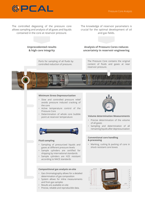

The controlled degassing of the pressure core allows sampling and analysis of all gases and liquids contained in the core at reservoir pressure.

The knowledge of reservoir parameters is crucial for the optimal development of oil and gas fields.

#### **Unprecedented results & high core integrity**

Ports for sampling of all fluids by controlled reduction of pressure.

**Analysis of Pressure Cores reduces uncertainty in reservoir engineering**

The Pressure Core contains the original content of fluids and gases at near reservoir pressure.

#### **Minimum Stress Depressurization**

- Slow and controlled pressure relief avoids pressure induced cracking of the core
- Active temperature control of the Pressure Core
- Determination of whole core bubble point at reservoir temperature



#### **Fluid sampling**

- Sampling of pressurized liquids and gases at different pressure levels
- Sample cylinders are certified for shipping by international standards
- Sample cylinders are H2S resistant according to NACE standards

**Compositional gas analysis on-site** 

and from gas samples • Results are available on-site

• Gas chromatography allows for a detailed determination of gas composition • System allows for inline measurements

• Precise, reliable and reproducible data.

#### **Volume determination Measurements**

- Precise determination of the volume of all gases
- Sampling and determination of all remaining liquids after depressurization

#### **Conventional core handling & processing**

• Marking, cutting & packing of core in shock resistant core boxes